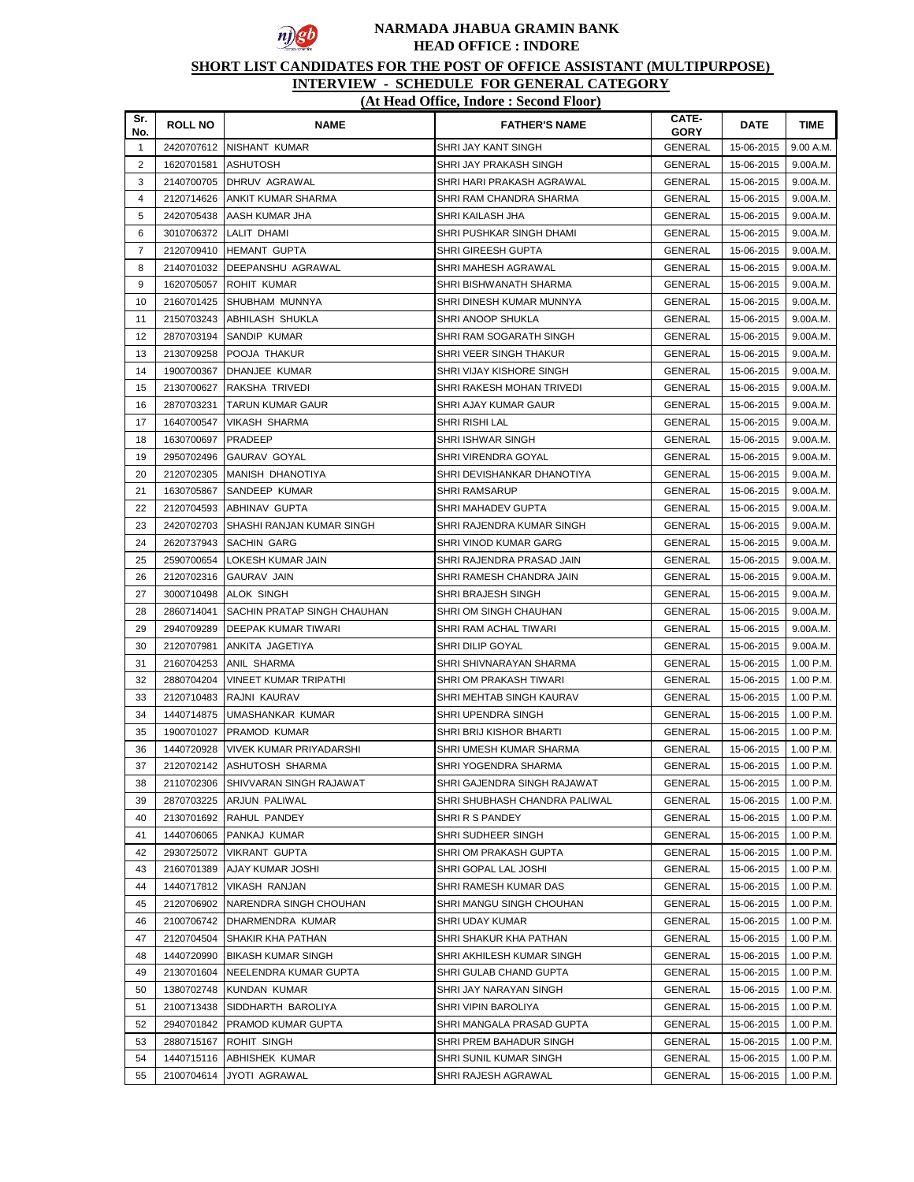

# **SHORT LIST CANDIDATES FOR THE POST OF OFFICE ASSISTANT (MULTIPURPOSE)**

| Sr.<br>No.     | <b>ROLL NO</b> | <b>NAME</b>                    | <b>FATHER'S NAME</b>          | CATE-<br><b>GORY</b> | <b>DATE</b> | <b>TIME</b> |
|----------------|----------------|--------------------------------|-------------------------------|----------------------|-------------|-------------|
| $\mathbf{1}$   |                | 2420707612 INISHANT KUMAR      | SHRI JAY KANT SINGH           | <b>GENERAL</b>       | 15-06-2015  | 9.00 A.M.   |
| $\overline{2}$ | 1620701581     | <b>ASHUTOSH</b>                | SHRI JAY PRAKASH SINGH        | <b>GENERAL</b>       | 15-06-2015  | 9.00A.M.    |
| 3              | 2140700705     | DHRUV AGRAWAL                  | SHRI HARI PRAKASH AGRAWAL     | <b>GENERAL</b>       | 15-06-2015  | 9.00A.M.    |
| $\overline{4}$ | 2120714626     | <b>ANKIT KUMAR SHARMA</b>      | SHRI RAM CHANDRA SHARMA       | <b>GENERAL</b>       | 15-06-2015  | 9.00A.M.    |
| 5              | 2420705438     | AASH KUMAR JHA                 | SHRI KAILASH JHA              | GENERAL              | 15-06-2015  | 9.00A.M.    |
| 6              | 3010706372     | LALIT DHAMI                    | SHRI PUSHKAR SINGH DHAMI      | GENERAL              | 15-06-2015  | 9.00A.M.    |
| $\overline{7}$ | 2120709410     | <b>HEMANT GUPTA</b>            | SHRI GIREESH GUPTA            | GENERAL              | 15-06-2015  | 9.00A.M.    |
| 8              |                | 2140701032   DEEPANSHU AGRAWAL | SHRI MAHESH AGRAWAL           | GENERAL              | 15-06-2015  | 9.00A.M.    |
| 9              | 1620705057     | ROHIT KUMAR                    | SHRI BISHWANATH SHARMA        | GENERAL              | 15-06-2015  | 9.00A.M.    |
| 10             | 2160701425     | <b>SHUBHAM MUNNYA</b>          | SHRI DINESH KUMAR MUNNYA      | GENERAL              | 15-06-2015  | 9.00A.M.    |
| 11             | 2150703243     | ABHILASH SHUKLA                | SHRI ANOOP SHUKLA             | <b>GENERAL</b>       | 15-06-2015  | 9.00A.M.    |
| 12             | 2870703194     | SANDIP KUMAR                   | SHRI RAM SOGARATH SINGH       | GENERAL              | 15-06-2015  | 9.00A.M.    |
| 13             | 2130709258     | POOJA THAKUR                   | SHRI VEER SINGH THAKUR        | GENERAL              | 15-06-2015  | 9.00A.M.    |
| 14             | 1900700367     | DHANJEE KUMAR                  | SHRI VIJAY KISHORE SINGH      | GENERAL              | 15-06-2015  | 9.00A.M.    |
| 15             | 2130700627     | RAKSHA TRIVEDI                 | SHRI RAKESH MOHAN TRIVEDI     | GENERAL              | 15-06-2015  | 9.00A.M.    |
| 16             | 2870703231     | <b>TARUN KUMAR GAUR</b>        | SHRI AJAY KUMAR GAUR          | GENERAL              | 15-06-2015  | 9.00A.M.    |
| 17             | 1640700547     | <b>VIKASH SHARMA</b>           | <b>SHRI RISHI LAL</b>         | <b>GENERAL</b>       | 15-06-2015  | 9.00A.M.    |
| 18             | 1630700697     | PRADEEP                        | SHRI ISHWAR SINGH             | <b>GENERAL</b>       | 15-06-2015  | 9.00A.M.    |
| 19             | 2950702496     | GAURAV GOYAL                   | SHRI VIRENDRA GOYAL           | GENERAL              | 15-06-2015  | 9.00A.M.    |
| 20             | 2120702305     | <b>MANISH DHANOTIYA</b>        | SHRI DEVISHANKAR DHANOTIYA    | GENERAL              | 15-06-2015  | 9.00A.M.    |
| 21             | 1630705867     | <b>SANDEEP KUMAR</b>           | <b>SHRI RAMSARUP</b>          | GENERAL              | 15-06-2015  | 9.00A.M.    |
| 22             | 2120704593     | ABHINAV GUPTA                  | SHRI MAHADEV GUPTA            | GENERAL              | 15-06-2015  | 9.00A.M.    |
| 23             | 2420702703     | SHASHI RANJAN KUMAR SINGH      | SHRI RAJENDRA KUMAR SINGH     | GENERAL              | 15-06-2015  | 9.00A.M.    |
| 24             | 2620737943     | SACHIN GARG                    | SHRI VINOD KUMAR GARG         | <b>GENERAL</b>       | 15-06-2015  | 9.00A.M.    |
| 25             | 2590700654     | LOKESH KUMAR JAIN              | SHRI RAJENDRA PRASAD JAIN     | <b>GENERAL</b>       | 15-06-2015  | 9.00A.M.    |
| 26             | 2120702316     | <b>GAURAV JAIN</b>             | SHRI RAMESH CHANDRA JAIN      | <b>GENERAL</b>       | 15-06-2015  | 9.00A.M.    |
| 27             | 3000710498     | <b>ALOK SINGH</b>              | SHRI BRAJESH SINGH            | <b>GENERAL</b>       | 15-06-2015  | 9.00A.M.    |
| 28             | 2860714041     | SACHIN PRATAP SINGH CHAUHAN    | SHRI OM SINGH CHAUHAN         | GENERAL              | 15-06-2015  | 9.00A.M.    |
| 29             | 2940709289     | DEEPAK KUMAR TIWARI            | SHRI RAM ACHAL TIWARI         | <b>GENERAL</b>       | 15-06-2015  | 9.00A.M.    |
| 30             | 2120707981     | ANKITA JAGETIYA                | SHRI DILIP GOYAL              | GENERAL              | 15-06-2015  | 9.00A.M.    |
| 31             | 2160704253     | ANIL SHARMA                    | SHRI SHIVNARAYAN SHARMA       | GENERAL              | 15-06-2015  | 1.00 P.M.   |
| 32             | 2880704204     | <b>VINEET KUMAR TRIPATHI</b>   | SHRI OM PRAKASH TIWARI        | GENERAL              | 15-06-2015  | 1.00 P.M.   |
| 33             | 2120710483     | RAJNI KAURAV                   | SHRI MEHTAB SINGH KAURAV      | GENERAL              | 15-06-2015  | 1.00 P.M.   |
| 34             | 1440714875     | UMASHANKAR KUMAR               | SHRI UPENDRA SINGH            | <b>GENERAL</b>       | 15-06-2015  | 1.00 P.M.   |
| 35             | 1900701027     | <b>PRAMOD KUMAR</b>            | SHRI BRIJ KISHOR BHARTI       | <b>GENERAL</b>       | 15-06-2015  | 1.00 P.M.   |
| 36             | 1440720928     | <b>VIVEK KUMAR PRIYADARSHI</b> | SHRI UMESH KUMAR SHARMA       | <b>GENERAL</b>       | 15-06-2015  | 1.00 P.M.   |
| 37             | 2120702142     | ASHUTOSH SHARMA                | SHRI YOGENDRA SHARMA          | <b>GENERAL</b>       | 15-06-2015  | 1.00 P.M.   |
| 38             | 2110702306     | SHIVVARAN SINGH RAJAWAT        | SHRI GAJENDRA SINGH RAJAWAT   | GENERAL              | 15-06-2015  | 1.00 P.M.   |
| 39             | 2870703225     | ARJUN PALIWAL                  | SHRI SHUBHASH CHANDRA PALIWAL | GENERAL              | 15-06-2015  | 1.00 P.M.   |
| 40             | 2130701692     | RAHUL PANDEY                   | SHRIRS PANDEY                 | GENERAL              | 15-06-2015  | 1.00 P.M.   |
| 41             | 1440706065     | PANKAJ KUMAR                   | SHRI SUDHEER SINGH            | GENERAL              | 15-06-2015  | 1.00 P.M.   |
| 42             | 2930725072     | <b>VIKRANT GUPTA</b>           | SHRI OM PRAKASH GUPTA         | GENERAL              | 15-06-2015  | 1.00 P.M.   |
| 43             | 2160701389     | AJAY KUMAR JOSHI               | SHRI GOPAL LAL JOSHI          | GENERAL              | 15-06-2015  | 1.00 P.M.   |
| 44             | 1440717812     | <b>VIKASH RANJAN</b>           | SHRI RAMESH KUMAR DAS         | GENERAL              | 15-06-2015  | 1.00 P.M.   |
| 45             | 2120706902     | NARENDRA SINGH CHOUHAN         | SHRI MANGU SINGH CHOUHAN      | GENERAL              | 15-06-2015  | 1.00 P.M.   |
| 46             | 2100706742     | DHARMENDRA KUMAR               | SHRI UDAY KUMAR               | GENERAL              | 15-06-2015  | 1.00 P.M.   |
| 47             | 2120704504     | <b>SHAKIR KHA PATHAN</b>       | SHRI SHAKUR KHA PATHAN        | GENERAL              | 15-06-2015  | 1.00 P.M.   |
| 48             | 1440720990     | <b>BIKASH KUMAR SINGH</b>      | SHRI AKHILESH KUMAR SINGH     | <b>GENERAL</b>       | 15-06-2015  | 1.00 P.M.   |
| 49             | 2130701604     | NEELENDRA KUMAR GUPTA          | SHRI GULAB CHAND GUPTA        | GENERAL              | 15-06-2015  | 1.00 P.M.   |
| 50             | 1380702748     | KUNDAN KUMAR                   | SHRI JAY NARAYAN SINGH        | GENERAL              | 15-06-2015  | 1.00 P.M.   |
| 51             | 2100713438     | SIDDHARTH BAROLIYA             | SHRI VIPIN BAROLIYA           | <b>GENERAL</b>       | 15-06-2015  | 1.00 P.M.   |
| 52             | 2940701842     | PRAMOD KUMAR GUPTA             | SHRI MANGALA PRASAD GUPTA     | GENERAL              | 15-06-2015  | 1.00 P.M.   |
| 53             | 2880715167     | ROHIT SINGH                    | SHRI PREM BAHADUR SINGH       | GENERAL              | 15-06-2015  | 1.00 P.M.   |
| 54             | 1440715116     | ABHISHEK KUMAR                 | SHRI SUNIL KUMAR SINGH        | <b>GENERAL</b>       | 15-06-2015  | 1.00 P.M.   |
| 55             | 2100704614     | JYOTI AGRAWAL                  | SHRI RAJESH AGRAWAL           | GENERAL              | 15-06-2015  | 1.00 P.M.   |
|                |                |                                |                               |                      |             |             |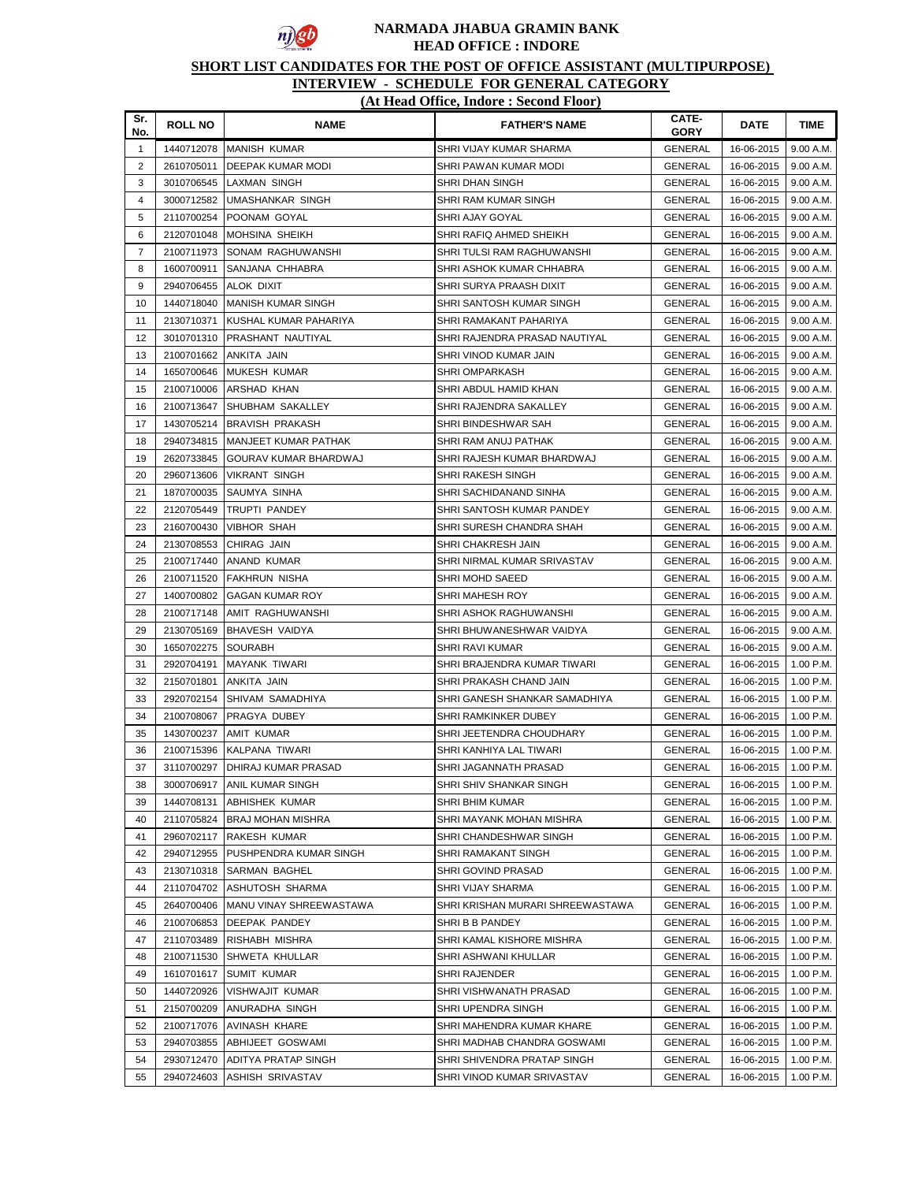

## **SHORT LIST CANDIDATES FOR THE POST OF OFFICE ASSISTANT (MULTIPURPOSE)**

# **INTERVIEW - SCHEDULE FOR GENERAL CATEGORY**

| (At Head Office, Indore: Second Floor) |  |
|----------------------------------------|--|
|----------------------------------------|--|

| Sr.<br>No.     | <b>ROLL NO</b> | <b>NAME</b>                   | <b>FATHER'S NAME</b>             | CATE-<br><b>GORY</b> | <b>DATE</b> | <b>TIME</b> |
|----------------|----------------|-------------------------------|----------------------------------|----------------------|-------------|-------------|
| $\mathbf{1}$   |                | 1440712078 MANISH KUMAR       | SHRI VIJAY KUMAR SHARMA          | <b>GENERAL</b>       | 16-06-2015  | 9.00 A.M.   |
| $\overline{2}$ | 2610705011     | <b>DEEPAK KUMAR MODI</b>      | SHRI PAWAN KUMAR MODI            | <b>GENERAL</b>       | 16-06-2015  | 9.00 A.M.   |
| 3              | 3010706545     | LAXMAN SINGH                  | SHRI DHAN SINGH                  | GENERAL              | 16-06-2015  | 9.00 A.M.   |
| 4              | 3000712582     | UMASHANKAR SINGH              | SHRI RAM KUMAR SINGH             | GENERAL              | 16-06-2015  | 9.00 A.M.   |
| 5              | 2110700254     | POONAM GOYAL                  | SHRI AJAY GOYAL                  | <b>GENERAL</b>       | 16-06-2015  | 9.00 A.M.   |
| 6              | 2120701048     | MOHSINA SHEIKH                | SHRI RAFIQ AHMED SHEIKH          | GENERAL              | 16-06-2015  | 9.00 A.M.   |
| $\overline{7}$ | 2100711973     | SONAM RAGHUWANSHI             | SHRI TULSI RAM RAGHUWANSHI       | GENERAL              | 16-06-2015  | 9.00 A.M.   |
| 8              | 1600700911     | SANJANA CHHABRA               | SHRI ASHOK KUMAR CHHABRA         | <b>GENERAL</b>       | 16-06-2015  | 9.00 A.M.   |
| 9              | 2940706455     | ALOK DIXIT                    | SHRI SURYA PRAASH DIXIT          | GENERAL              | 16-06-2015  | 9.00 A.M.   |
| 10             | 1440718040     | <b>MANISH KUMAR SINGH</b>     | SHRI SANTOSH KUMAR SINGH         | GENERAL              | 16-06-2015  | 9.00 A.M.   |
| 11             | 2130710371     | KUSHAL KUMAR PAHARIYA         | SHRI RAMAKANT PAHARIYA           | GENERAL              | 16-06-2015  | 9.00 A.M.   |
| 12             | 3010701310     | <b>PRASHANT NAUTIYAL</b>      | SHRI RAJENDRA PRASAD NAUTIYAL    | GENERAL              | 16-06-2015  | 9.00 A.M.   |
| 13             | 2100701662     | ANKITA JAIN                   | SHRI VINOD KUMAR JAIN            | GENERAL              | 16-06-2015  | 9.00 A.M.   |
| 14             | 1650700646     | <b>MUKESH KUMAR</b>           | SHRI OMPARKASH                   | GENERAL              | 16-06-2015  | 9.00 A.M.   |
| 15             | 2100710006     | <b>ARSHAD KHAN</b>            | SHRI ABDUL HAMID KHAN            | GENERAL              | 16-06-2015  | 9.00 A.M.   |
| 16             | 2100713647     | <b>SHUBHAM SAKALLEY</b>       | SHRI RAJENDRA SAKALLEY           | GENERAL              | 16-06-2015  | 9.00 A.M.   |
| 17             | 1430705214     | <b>BRAVISH PRAKASH</b>        | SHRI BINDESHWAR SAH              | GENERAL              | 16-06-2015  | 9.00 A.M.   |
| 18             | 2940734815     | <b>MANJEET KUMAR PATHAK</b>   | SHRI RAM ANUJ PATHAK             | <b>GENERAL</b>       | 16-06-2015  | 9.00 A.M.   |
| 19             | 2620733845     | <b>GOURAV KUMAR BHARDWAJ</b>  | SHRI RAJESH KUMAR BHARDWAJ       | <b>GENERAL</b>       | 16-06-2015  | 9.00 A.M.   |
| 20             | 2960713606     | VIKRANT SINGH                 | SHRI RAKESH SINGH                | <b>GENERAL</b>       | 16-06-2015  | 9.00 A.M.   |
| 21             | 1870700035     | SAUMYA SINHA                  | SHRI SACHIDANAND SINHA           | <b>GENERAL</b>       | 16-06-2015  | 9.00 A.M.   |
| 22             | 2120705449     | TRUPTI PANDEY                 | SHRI SANTOSH KUMAR PANDEY        | <b>GENERAL</b>       | 16-06-2015  | 9.00 A.M.   |
| 23             | 2160700430     | <b>VIBHOR SHAH</b>            | SHRI SURESH CHANDRA SHAH         |                      | 16-06-2015  | 9.00 A.M.   |
| 24             | 2130708553     | CHIRAG JAIN                   |                                  | GENERAL              |             |             |
|                |                |                               | SHRI CHAKRESH JAIN               | <b>GENERAL</b>       | 16-06-2015  | 9.00 A.M.   |
| 25             | 2100717440     | ANAND KUMAR                   | SHRI NIRMAL KUMAR SRIVASTAV      | <b>GENERAL</b>       | 16-06-2015  | 9.00 A.M.   |
| 26             | 2100711520     | FAKHRUN NISHA                 | SHRI MOHD SAEED                  | GENERAL              | 16-06-2015  | 9.00 A.M.   |
| 27             | 1400700802     | <b>GAGAN KUMAR ROY</b>        | SHRI MAHESH ROY                  | <b>GENERAL</b>       | 16-06-2015  | 9.00 A.M.   |
| 28             | 2100717148     | AMIT RAGHUWANSHI              | SHRI ASHOK RAGHUWANSHI           | GENERAL              | 16-06-2015  | 9.00 A.M.   |
| 29             | 2130705169     | <b>BHAVESH VAIDYA</b>         | SHRI BHUWANESHWAR VAIDYA         | GENERAL              | 16-06-2015  | 9.00 A.M.   |
| 30             | 1650702275     | SOURABH                       | SHRI RAVI KUMAR                  | GENERAL              | 16-06-2015  | 9.00 A.M.   |
| 31             | 2920704191     | MAYANK TIWARI                 | SHRI BRAJENDRA KUMAR TIWARI      | GENERAL              | 16-06-2015  | 1.00 P.M.   |
| 32             | 2150701801     | ANKITA JAIN                   | SHRI PRAKASH CHAND JAIN          | GENERAL              | 16-06-2015  | 1.00 P.M.   |
| 33             | 2920702154     | SHIVAM SAMADHIYA              | SHRI GANESH SHANKAR SAMADHIYA    | GENERAL              | 16-06-2015  | 1.00 P.M.   |
| 34             | 2100708067     | <b>PRAGYA DUBEY</b>           | SHRI RAMKINKER DUBEY             | GENERAL              | 16-06-2015  | 1.00 P.M.   |
| 35             | 1430700237     | <b>AMIT KUMAR</b>             | SHRI JEETENDRA CHOUDHARY         | GENERAL              | 16-06-2015  | 1.00 P.M.   |
| 36             | 2100715396     | KALPANA TIWARI                | SHRI KANHIYA LAL TIWARI          | <b>GENERAL</b>       | 16-06-2015  | 1.00 P.M.   |
| 37             | 3110700297     | <b>DHIRAJ KUMAR PRASAD</b>    | SHRI JAGANNATH PRASAD            | <b>GENERAL</b>       | 16-06-2015  | 1.00 P.M.   |
| 38             | 3000706917     | <b>ANIL KUMAR SINGH</b>       | SHRI SHIV SHANKAR SINGH          | GENERAL              | 16-06-2015  | 1.00 P.M.   |
| 39             | 1440708131     | ABHISHEK KUMAR                | SHRI BHIM KUMAR                  | <b>GENERAL</b>       | 16-06-2015  | 1.00 P.M.   |
| 40             | 2110705824     | <b>BRAJ MOHAN MISHRA</b>      | SHRI MAYANK MOHAN MISHRA         | <b>GENERAL</b>       | 16-06-2015  | 1.00 P.M.   |
| 41             | 2960702117     | <b>RAKESH KUMAR</b>           | SHRI CHANDESHWAR SINGH           | GENERAL              | 16-06-2015  | 1.00 P.M.   |
| 42             | 2940712955     | <b>PUSHPENDRA KUMAR SINGH</b> | SHRI RAMAKANT SINGH              | <b>GENERAL</b>       | 16-06-2015  | 1.00 P.M.   |
| 43             | 2130710318     | SARMAN BAGHEL                 | SHRI GOVIND PRASAD               | GENERAL              | 16-06-2015  | 1.00 P.M.   |
| 44             | 2110704702     | ASHUTOSH SHARMA               | SHRI VIJAY SHARMA                | GENERAL              | 16-06-2015  | $1.00$ P.M. |
| 45             | 2640700406     | MANU VINAY SHREEWASTAWA       | SHRI KRISHAN MURARI SHREEWASTAWA | GENERAL              | 16-06-2015  | 1.00 P.M.   |
| 46             | 2100706853     | <b>DEEPAK PANDEY</b>          | SHRIBB PANDEY                    | GENERAL              | 16-06-2015  | 1.00 P.M.   |
| 47             | 2110703489     | <b>RISHABH MISHRA</b>         | SHRI KAMAL KISHORE MISHRA        | GENERAL              | 16-06-2015  | 1.00 P.M.   |
| 48             | 2100711530     | SHWETA KHULLAR                | SHRI ASHWANI KHULLAR             | GENERAL              | 16-06-2015  | 1.00 P.M.   |
| 49             | 1610701617     | <b>SUMIT KUMAR</b>            | SHRI RAJENDER                    | <b>GENERAL</b>       | 16-06-2015  | 1.00 P.M.   |
| 50             | 1440720926     | <b>VISHWAJIT KUMAR</b>        | SHRI VISHWANATH PRASAD           | GENERAL              | 16-06-2015  | 1.00 P.M.   |
| 51             | 2150700209     | ANURADHA SINGH                | SHRI UPENDRA SINGH               | GENERAL              | 16-06-2015  | 1.00 P.M.   |
| 52             | 2100717076     | <b>AVINASH KHARE</b>          | SHRI MAHENDRA KUMAR KHARE        | GENERAL              | 16-06-2015  | 1.00 P.M.   |
| 53             | 2940703855     | <b>ABHIJEET GOSWAMI</b>       | SHRI MADHAB CHANDRA GOSWAMI      | GENERAL              | 16-06-2015  | 1.00 P.M.   |
| 54             | 2930712470     | ADITYA PRATAP SINGH           | SHRI SHIVENDRA PRATAP SINGH      | <b>GENERAL</b>       | 16-06-2015  | 1.00 P.M.   |
| 55             | 2940724603     | ASHISH SRIVASTAV              | SHRI VINOD KUMAR SRIVASTAV       | GENERAL              | 16-06-2015  | 1.00 P.M.   |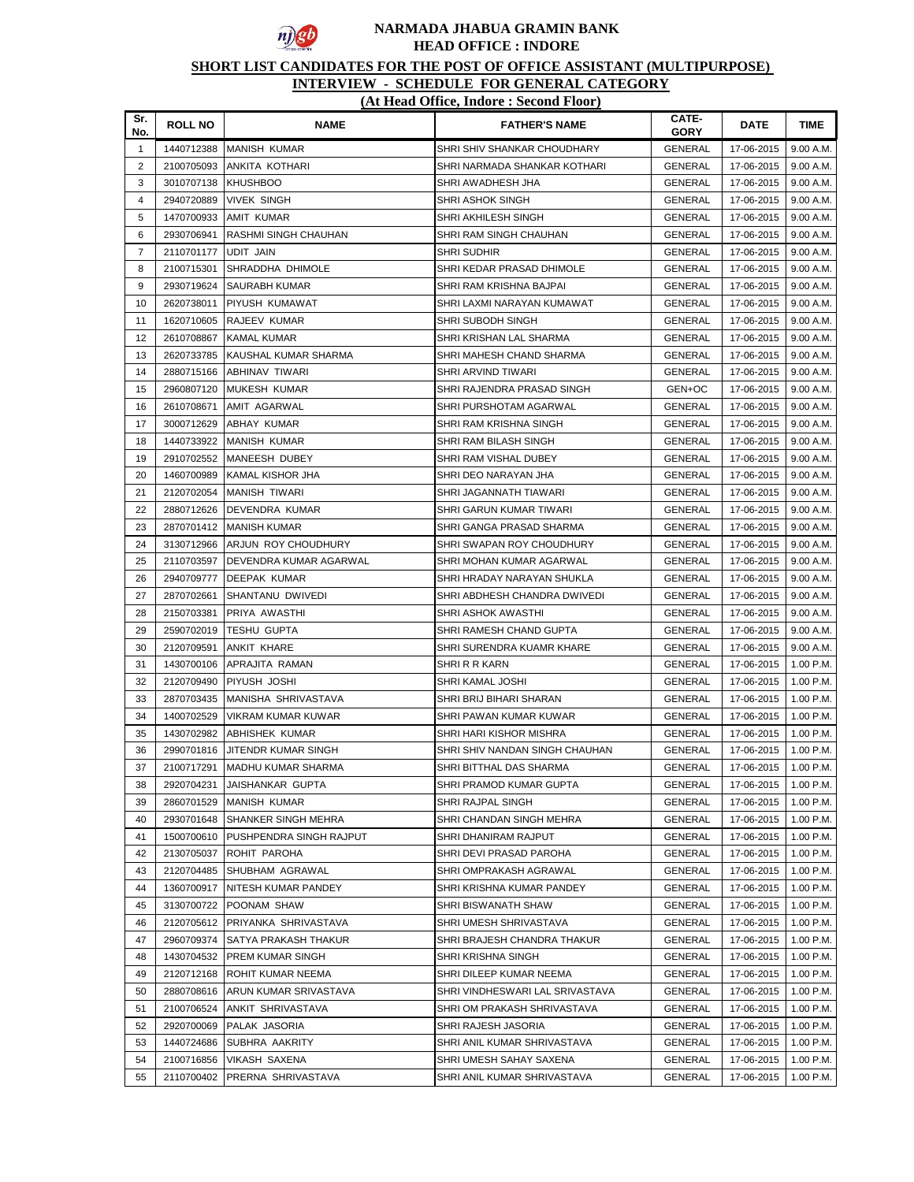

# **SHORT LIST CANDIDATES FOR THE POST OF OFFICE ASSISTANT (MULTIPURPOSE)**

| Sr.<br>No.     | <b>ROLL NO</b>           | <b>NAME</b>                                  | <b>FATHER'S NAME</b>                                           | CATE-<br><b>GORY</b>      | <b>DATE</b>              | <b>TIME</b>            |
|----------------|--------------------------|----------------------------------------------|----------------------------------------------------------------|---------------------------|--------------------------|------------------------|
| $\mathbf{1}$   | 1440712388               | <b>MANISH KUMAR</b>                          | SHRI SHIV SHANKAR CHOUDHARY                                    | <b>GENERAL</b>            | 17-06-2015               | 9.00 A.M.              |
| $\overline{2}$ | 2100705093               | ANKITA KOTHARI                               | SHRI NARMADA SHANKAR KOTHARI                                   | <b>GENERAL</b>            | 17-06-2015               | 9.00 A.M.              |
| 3              | 3010707138               | <b>KHUSHBOO</b>                              | SHRI AWADHESH JHA                                              | <b>GENERAL</b>            | 17-06-2015               | 9.00 A.M.              |
| $\overline{4}$ | 2940720889               | <b>VIVEK SINGH</b>                           | SHRI ASHOK SINGH                                               | GENERAL                   | 17-06-2015               | 9.00 A.M.              |
| 5              | 1470700933               | AMIT KUMAR                                   | SHRI AKHILESH SINGH                                            | GENERAL                   | 17-06-2015               | 9.00 A.M.              |
| 6              | 2930706941               | <b>RASHMI SINGH CHAUHAN</b>                  | SHRI RAM SINGH CHAUHAN                                         | <b>GENERAL</b>            | 17-06-2015               | 9.00 A.M.              |
| $\overline{7}$ | 2110701177               | UDIT JAIN                                    | <b>SHRI SUDHIR</b>                                             | GENERAL                   | 17-06-2015               | 9.00 A.M.              |
| 8              | 2100715301               | SHRADDHA DHIMOLE                             | SHRI KEDAR PRASAD DHIMOLE                                      | <b>GENERAL</b>            | 17-06-2015               | 9.00 A.M.              |
| 9              | 2930719624               | <b>SAURABH KUMAR</b>                         | SHRI RAM KRISHNA BAJPAI                                        | <b>GENERAL</b>            | 17-06-2015               | 9.00 A.M.              |
| 10             | 2620738011               | PIYUSH KUMAWAT                               | SHRI LAXMI NARAYAN KUMAWAT                                     | <b>GENERAL</b>            | 17-06-2015               | 9.00 A.M.              |
| 11             | 1620710605               | RAJEEV KUMAR                                 | SHRI SUBODH SINGH                                              | GENERAL                   | 17-06-2015               | 9.00 A.M.              |
| 12             | 2610708867               | KAMAL KUMAR                                  | SHRI KRISHAN LAL SHARMA                                        | <b>GENERAL</b>            | 17-06-2015               | 9.00 A.M.              |
| 13             | 2620733785               | KAUSHAL KUMAR SHARMA                         | SHRI MAHESH CHAND SHARMA                                       | <b>GENERAL</b>            | 17-06-2015               | 9.00 A.M.              |
| 14             | 2880715166               | ABHINAV TIWARI                               | SHRI ARVIND TIWARI                                             | GENERAL                   | 17-06-2015               | 9.00 A.M.              |
| 15             | 2960807120               | <b>MUKESH KUMAR</b>                          | SHRI RAJENDRA PRASAD SINGH                                     | GEN+OC                    | 17-06-2015               | 9.00 A.M.              |
| 16             | 2610708671               | AMIT AGARWAL                                 | SHRI PURSHOTAM AGARWAL                                         | GENERAL                   | 17-06-2015               | 9.00 A.M.              |
| 17             | 3000712629               | <b>ABHAY KUMAR</b>                           | SHRI RAM KRISHNA SINGH                                         | GENERAL                   | 17-06-2015               | 9.00 A.M.              |
| 18             | 1440733922               | <b>MANISH KUMAR</b>                          | SHRI RAM BILASH SINGH                                          | GENERAL                   | 17-06-2015               | 9.00 A.M.              |
| 19             | 2910702552               | <b>MANEESH DUBEY</b>                         | SHRI RAM VISHAL DUBEY                                          | GENERAL                   | 17-06-2015               | 9.00 A.M.              |
| 20             | 1460700989               | KAMAL KISHOR JHA                             | SHRI DEO NARAYAN JHA                                           | GENERAL                   | 17-06-2015               | 9.00 A.M.              |
| 21             | 2120702054               | <b>MANISH TIWARI</b>                         | SHRI JAGANNATH TIAWARI                                         | GENERAL                   | 17-06-2015               | 9.00 A.M.              |
| 22             | 2880712626               | DEVENDRA KUMAR                               | SHRI GARUN KUMAR TIWARI                                        | GENERAL                   | 17-06-2015               | 9.00 A.M.              |
| 23             | 2870701412               | <b>MANISH KUMAR</b>                          | SHRI GANGA PRASAD SHARMA                                       | <b>GENERAL</b>            | 17-06-2015               | 9.00 A.M.              |
| 24             | 3130712966               | ARJUN ROY CHOUDHURY                          | SHRI SWAPAN ROY CHOUDHURY                                      | <b>GENERAL</b>            | 17-06-2015               | 9.00 A.M.              |
| 25             | 2110703597               | DEVENDRA KUMAR AGARWAL                       | SHRI MOHAN KUMAR AGARWAL                                       | GENERAL                   | 17-06-2015               | 9.00 A.M.              |
| 26             | 2940709777               | <b>DEEPAK KUMAR</b>                          | SHRI HRADAY NARAYAN SHUKLA                                     | GENERAL                   | 17-06-2015               | 9.00 A.M.              |
| 27             | 2870702661               | SHANTANU DWIVEDI                             | SHRI ABDHESH CHANDRA DWIVEDI                                   | GENERAL                   | 17-06-2015               | 9.00 A.M.              |
| 28             | 2150703381               | PRIYA AWASTHI                                | SHRI ASHOK AWASTHI                                             | GENERAL                   | 17-06-2015               | 9.00 A.M.              |
| 29             | 2590702019               | <b>TESHU GUPTA</b>                           | SHRI RAMESH CHAND GUPTA                                        | GENERAL                   | 17-06-2015               | 9.00 A.M.              |
| 30             | 2120709591               | <b>ANKIT KHARE</b>                           | SHRI SURENDRA KUAMR KHARE                                      | GENERAL                   | 17-06-2015               | 9.00 A.M.              |
| 31             | 1430700106               | APRAJITA RAMAN                               | SHRI R R KARN                                                  | GENERAL                   | 17-06-2015               | 1.00 P.M.              |
| 32             | 2120709490               | <b>PIYUSH JOSHI</b>                          | SHRI KAMAL JOSHI                                               | GENERAL                   | 17-06-2015               | 1.00 P.M.              |
| 33             | 2870703435               | MANISHA SHRIVASTAVA                          | SHRI BRIJ BIHARI SHARAN                                        | GENERAL                   | 17-06-2015               | 1.00 P.M.              |
| 34             | 1400702529               | VIKRAM KUMAR KUWAR                           | SHRI PAWAN KUMAR KUWAR                                         | GENERAL                   | 17-06-2015               | 1.00 P.M.              |
| 35             | 1430702982               | ABHISHEK KUMAR                               | SHRI HARI KISHOR MISHRA                                        | GENERAL                   | 17-06-2015               | 1.00 P.M.              |
| 36             | 2990701816               | <b>JITENDR KUMAR SINGH</b>                   | SHRI SHIV NANDAN SINGH CHAUHAN                                 | GENERAL                   | 17-06-2015               | 1.00 P.M.              |
| 37             | 2100717291               | <b>MADHU KUMAR SHARMA</b>                    | SHRI BITTHAL DAS SHARMA                                        | <b>GENERAL</b>            | 17-06-2015               | 1.00 P.M.              |
| 38             | 2920704231               | JAISHANKAR GUPTA                             | SHRI PRAMOD KUMAR GUPTA                                        | GENERAL                   | 17-06-2015               | 1.00 P.M.              |
| 39             | 2860701529               | <b>MANISH KUMAR</b>                          | SHRI RAJPAL SINGH                                              | <b>GENERAL</b>            | 17-06-2015               | 1.00 P.M.              |
| 40             | 2930701648               | <b>SHANKER SINGH MEHRA</b>                   | SHRI CHANDAN SINGH MEHRA                                       | <b>GENERAL</b>            | 17-06-2015               | 1.00 P.M.              |
| 41             | 1500700610               | PUSHPENDRA SINGH RAJPUT                      | SHRI DHANIRAM RAJPUT                                           | <b>GENERAL</b>            | 17-06-2015               | 1.00 P.M.              |
| 42             | 2130705037               | ROHIT PAROHA                                 | SHRI DEVI PRASAD PAROHA                                        | GENERAL                   | 17-06-2015               | 1.00 P.M.              |
| 43             | 2120704485               | SHUBHAM AGRAWAL                              | SHRI OMPRAKASH AGRAWAL                                         | GENERAL                   | 17-06-2015               | 1.00 P.M.              |
| 44             | 1360700917               | NITESH KUMAR PANDEY                          | SHRI KRISHNA KUMAR PANDEY                                      | <b>GENERAL</b>            | 17-06-2015               | 1.00 P.M.              |
| 45             | 3130700722               | POONAM SHAW                                  | SHRI BISWANATH SHAW                                            | GENERAL                   | 17-06-2015               | 1.00 P.M.              |
| 46             | 2120705612               | PRIYANKA SHRIVASTAVA<br>SATYA PRAKASH THAKUR | SHRI UMESH SHRIVASTAVA                                         | GENERAL                   | 17-06-2015<br>17-06-2015 | 1.00 P.M.              |
| 47<br>48       | 2960709374               |                                              | SHRI BRAJESH CHANDRA THAKUR<br>SHRI KRISHNA SINGH              | <b>GENERAL</b>            |                          | 1.00 P.M.<br>1.00 P.M. |
|                | 1430704532               | <b>PREM KUMAR SINGH</b>                      |                                                                | <b>GENERAL</b>            | 17-06-2015               |                        |
| 49             | 2120712168               | ROHIT KUMAR NEEMA                            | SHRI DILEEP KUMAR NEEMA                                        | <b>GENERAL</b>            | 17-06-2015               | 1.00 P.M.              |
| 50             | 2880708616<br>2100706524 | ARUN KUMAR SRIVASTAVA                        | SHRI VINDHESWARI LAL SRIVASTAVA<br>SHRI OM PRAKASH SHRIVASTAVA | GENERAL                   | 17-06-2015               | 1.00 P.M.<br>1.00 P.M. |
| 51             |                          | ANKIT SHRIVASTAVA                            |                                                                | <b>GENERAL</b>            | 17-06-2015               |                        |
| 52             | 2920700069               | PALAK JASORIA                                | SHRI RAJESH JASORIA                                            | <b>GENERAL</b>            | 17-06-2015               | 1.00 P.M.              |
| 53<br>54       | 1440724686<br>2100716856 | SUBHRA AAKRITY<br>VIKASH SAXENA              | SHRI ANIL KUMAR SHRIVASTAVA<br>SHRI UMESH SAHAY SAXENA         | <b>GENERAL</b><br>GENERAL | 17-06-2015<br>17-06-2015 | 1.00 P.M.<br>1.00 P.M. |
| 55             | 2110700402               | PRERNA SHRIVASTAVA                           | SHRI ANIL KUMAR SHRIVASTAVA                                    | GENERAL                   | 17-06-2015               | 1.00 P.M.              |
|                |                          |                                              |                                                                |                           |                          |                        |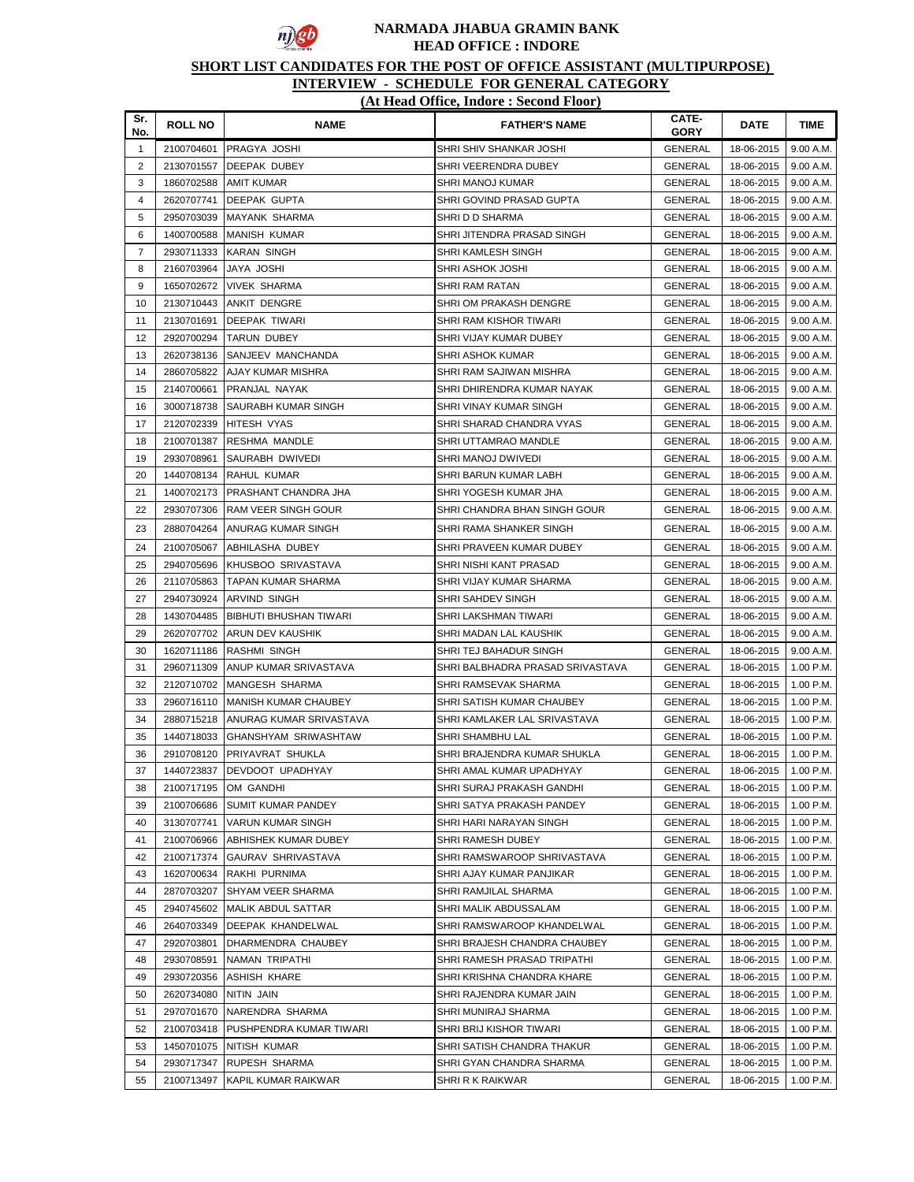

## **SHORT LIST CANDIDATES FOR THE POST OF OFFICE ASSISTANT (MULTIPURPOSE)**

#### **INTERVIEW - SCHEDULE FOR GENERAL CATEGORY**

## **(At Head Office, Indore : Second Floor)**

| Sr.<br>No.              | <b>ROLL NO</b>           | <b>NAME</b>                     | <b>FATHER'S NAME</b>                         | CATE-<br><b>GORY</b>             | <b>DATE</b>              | <b>TIME</b>            |
|-------------------------|--------------------------|---------------------------------|----------------------------------------------|----------------------------------|--------------------------|------------------------|
| $\mathbf{1}$            | 2100704601               | <b>PRAGYA JOSHI</b>             | SHRI SHIV SHANKAR JOSHI                      | <b>GENERAL</b>                   | 18-06-2015               | 9.00 A.M.              |
| $\overline{\mathbf{c}}$ | 2130701557               | <b>DEEPAK DUBEY</b>             | SHRI VEERENDRA DUBEY                         | <b>GENERAL</b>                   | 18-06-2015               | 9.00 A.M.              |
| 3                       | 1860702588               | <b>AMIT KUMAR</b>               | SHRI MANOJ KUMAR                             | GENERAL                          | 18-06-2015               | 9.00 A.M.              |
| 4                       | 2620707741               | <b>DEEPAK GUPTA</b>             | SHRI GOVIND PRASAD GUPTA                     | GENERAL                          | 18-06-2015               | 9.00 A.M.              |
| 5                       | 2950703039               | MAYANK SHARMA                   | SHRI D D SHARMA                              | GENERAL                          | 18-06-2015               | 9.00 A.M.              |
| 6                       | 1400700588               | MANISH KUMAR                    | SHRI JITENDRA PRASAD SINGH                   | GENERAL                          | 18-06-2015               | 9.00 A.M.              |
| $\overline{7}$          | 2930711333               | KARAN SINGH                     | SHRI KAMLESH SINGH                           | GENERAL                          | 18-06-2015               | 9.00 A.M.              |
| 8                       | 2160703964               | JAYA JOSHI                      | SHRI ASHOK JOSHI                             | <b>GENERAL</b>                   | 18-06-2015               | 9.00 A.M.              |
| 9                       | 1650702672               | <b>VIVEK SHARMA</b>             | SHRI RAM RATAN                               | GENERAL                          | 18-06-2015               | 9.00 A.M.              |
| 10                      | 2130710443               | <b>ANKIT DENGRE</b>             | SHRI OM PRAKASH DENGRE                       | <b>GENERAL</b>                   | 18-06-2015               | 9.00 A.M.              |
| 11                      | 2130701691               | DEEPAK TIWARI                   | SHRI RAM KISHOR TIWARI                       | <b>GENERAL</b>                   | 18-06-2015               | 9.00 A.M.              |
| 12                      | 2920700294               | TARUN DUBEY                     | SHRI VIJAY KUMAR DUBEY                       | GENERAL                          | 18-06-2015               | 9.00 A.M.              |
| 13                      | 2620738136               | SANJEEV MANCHANDA               | SHRI ASHOK KUMAR                             | <b>GENERAL</b>                   | 18-06-2015               | 9.00 A.M.              |
| 14                      | 2860705822               | AJAY KUMAR MISHRA               | SHRI RAM SAJIWAN MISHRA                      | <b>GENERAL</b>                   | 18-06-2015               | 9.00 A.M.              |
| 15                      | 2140700661               | PRANJAL NAYAK                   | SHRI DHIRENDRA KUMAR NAYAK                   | GENERAL                          | 18-06-2015               | 9.00 A.M.              |
| 16                      | 3000718738               | <b>SAURABH KUMAR SINGH</b>      | SHRI VINAY KUMAR SINGH                       | GENERAL                          | 18-06-2015               | 9.00 A.M.              |
| 17                      | 2120702339               | <b>HITESH VYAS</b>              | SHRI SHARAD CHANDRA VYAS                     | GENERAL                          | 18-06-2015               | 9.00 A.M.              |
| 18                      | 2100701387               | <b>RESHMA MANDLE</b>            | SHRI UTTAMRAO MANDLE                         | GENERAL                          | 18-06-2015               | 9.00 A.M.              |
| 19                      | 2930708961               | SAURABH DWIVEDI                 | SHRI MANOJ DWIVEDI                           | GENERAL                          | 18-06-2015               | 9.00 A.M.              |
| 20                      | 1440708134               | RAHUL KUMAR                     | SHRI BARUN KUMAR LABH                        | <b>GENERAL</b>                   | 18-06-2015               | 9.00 A.M.              |
| 21                      | 1400702173               | PRASHANT CHANDRA JHA            | SHRI YOGESH KUMAR JHA                        | <b>GENERAL</b>                   | 18-06-2015               | 9.00 A.M.              |
| 22                      | 2930707306               | <b>RAM VEER SINGH GOUR</b>      | SHRI CHANDRA BHAN SINGH GOUR                 | GENERAL                          | 18-06-2015               | 9.00 A.M.              |
| 23                      | 2880704264               | ANURAG KUMAR SINGH              | SHRI RAMA SHANKER SINGH                      | GENERAL                          | 18-06-2015               | 9.00 A.M.              |
| 24                      | 2100705067               | ABHILASHA DUBEY                 | SHRI PRAVEEN KUMAR DUBEY                     | <b>GENERAL</b>                   | 18-06-2015               | 9.00 A.M.              |
| 25                      | 2940705696               | KHUSBOO SRIVASTAVA              | SHRI NISHI KANT PRASAD                       | <b>GENERAL</b>                   | 18-06-2015               | 9.00 A.M.              |
| 26                      | 2110705863               | TAPAN KUMAR SHARMA              | SHRI VIJAY KUMAR SHARMA                      | GENERAL                          | 18-06-2015               | 9.00 A.M.              |
| 27                      | 2940730924               | <b>ARVIND SINGH</b>             | SHRI SAHDEV SINGH                            | <b>GENERAL</b>                   | 18-06-2015               | 9.00 A.M.              |
| 28                      | 1430704485               | <b>BIBHUTI BHUSHAN TIWARI</b>   | SHRI LAKSHMAN TIWARI                         | <b>GENERAL</b>                   | 18-06-2015               | 9.00 A.M.              |
| 29                      | 2620707702               | ARUN DEV KAUSHIK                | SHRI MADAN LAL KAUSHIK                       | <b>GENERAL</b>                   | 18-06-2015               | 9.00 A.M.              |
| 30                      | 1620711186               | <b>RASHMI SINGH</b>             | SHRI TEJ BAHADUR SINGH                       | <b>GENERAL</b>                   | 18-06-2015               | 9.00 A.M.              |
| 31                      | 2960711309               | ANUP KUMAR SRIVASTAVA           | SHRI BALBHADRA PRASAD SRIVASTAVA             | <b>GENERAL</b>                   | 18-06-2015               | 1.00 P.M.              |
| 32                      | 2120710702               | IMANGESH SHARMA                 | SHRI RAMSEVAK SHARMA                         | <b>GENERAL</b>                   | 18-06-2015               | 1.00 P.M.              |
| 33                      | 2960716110               | MANISH KUMAR CHAUBEY            | SHRI SATISH KUMAR CHAUBEY                    | <b>GENERAL</b>                   | 18-06-2015               | 1.00 P.M.              |
| 34                      | 2880715218               | ANURAG KUMAR SRIVASTAVA         | SHRI KAMLAKER LAL SRIVASTAVA                 | GENERAL                          | 18-06-2015               | 1.00 P.M.              |
| 35                      |                          | 1440718033 GHANSHYAM SRIWASHTAW | SHRI SHAMBHU LAL                             | GENERAL                          | 18-06-2015               | 1.00 P.M.              |
| 36                      |                          | 2910708120 PRIYAVRAT SHUKLA     | SHRI BRAJENDRA KUMAR SHUKLA                  | GENERAL                          | 18-06-2015               | 1.00 P.M.              |
| 37                      | 1440723837               | <b>DEVDOOT UPADHYAY</b>         | SHRI AMAL KUMAR UPADHYAY                     | <b>GENERAL</b>                   | 18-06-2015 1.00 P.M.     |                        |
| 38                      | 2100717195               | OM GANDHI<br>SUMIT KUMAR PANDEY | SHRI SURAJ PRAKASH GANDHI                    | GENERAL                          | 18-06-2015               | 1.00 P.M.<br>1.00 P.M. |
| 39<br>40                | 2100706686<br>3130707741 | <b>VARUN KUMAR SINGH</b>        | SHRI SATYA PRAKASH PANDEY                    | <b>GENERAL</b><br><b>GENERAL</b> | 18-06-2015<br>18-06-2015 | 1.00 P.M.              |
| 41                      | 2100706966               | <b>ABHISHEK KUMAR DUBEY</b>     | SHRI HARI NARAYAN SINGH<br>SHRI RAMESH DUBEY | <b>GENERAL</b>                   | 18-06-2015               | 1.00 P.M.              |
| 42                      | 2100717374               | GAURAV SHRIVASTAVA              | SHRI RAMSWAROOP SHRIVASTAVA                  | <b>GENERAL</b>                   | 18-06-2015               | 1.00 P.M.              |
| 43                      | 1620700634               | RAKHI PURNIMA                   | SHRI AJAY KUMAR PANJIKAR                     | <b>GENERAL</b>                   | 18-06-2015               | 1.00 P.M.              |
| 44                      | 2870703207               | SHYAM VEER SHARMA               | SHRI RAMJILAL SHARMA                         | GENERAL                          | 18-06-2015               | 1.00 P.M.              |
| 45                      | 2940745602               | <b>MALIK ABDUL SATTAR</b>       | SHRI MALIK ABDUSSALAM                        | <b>GENERAL</b>                   | 18-06-2015               | 1.00 P.M.              |
| 46                      | 2640703349               | <b>DEEPAK KHANDELWAL</b>        | SHRI RAMSWAROOP KHANDELWAL                   | GENERAL                          | 18-06-2015               | 1.00 P.M.              |
| 47                      | 2920703801               | DHARMENDRA CHAUBEY              | SHRI BRAJESH CHANDRA CHAUBEY                 | GENERAL                          | 18-06-2015               | 1.00 P.M.              |
| 48                      | 2930708591               | NAMAN TRIPATHI                  | SHRI RAMESH PRASAD TRIPATHI                  | GENERAL                          | 18-06-2015               | 1.00 P.M.              |
| 49                      | 2930720356               | <b>ASHISH KHARE</b>             | SHRI KRISHNA CHANDRA KHARE                   | <b>GENERAL</b>                   | 18-06-2015               | 1.00 P.M.              |
| 50                      | 2620734080               | NITIN JAIN                      | SHRI RAJENDRA KUMAR JAIN                     | GENERAL                          | 18-06-2015               | 1.00 P.M.              |
| 51                      | 2970701670               | NARENDRA SHARMA                 | SHRI MUNIRAJ SHARMA                          | GENERAL                          | 18-06-2015               | 1.00 P.M.              |
| 52                      | 2100703418               | PUSHPENDRA KUMAR TIWARI         | SHRI BRIJ KISHOR TIWARI                      | <b>GENERAL</b>                   | 18-06-2015               | 1.00 P.M.              |
| 53                      | 1450701075               | NITISH KUMAR                    | SHRI SATISH CHANDRA THAKUR                   | <b>GENERAL</b>                   | 18-06-2015               | 1.00 P.M.              |
| 54                      | 2930717347               | RUPESH SHARMA                   | SHRI GYAN CHANDRA SHARMA                     | GENERAL                          | 18-06-2015               | 1.00 P.M.              |
| 55                      | 2100713497               | KAPIL KUMAR RAIKWAR             | SHRI R K RAIKWAR                             | <b>GENERAL</b>                   | 18-06-2015               | 1.00 P.M.              |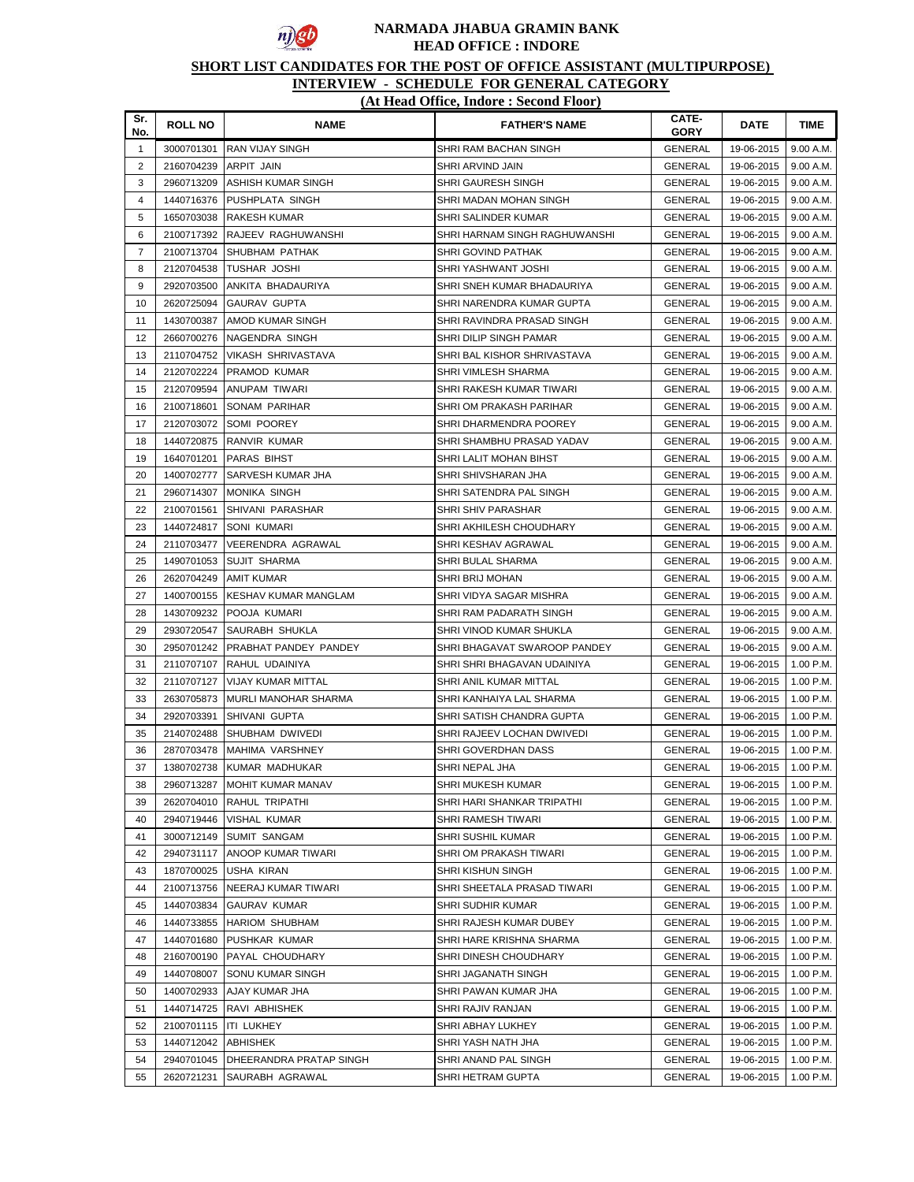

# **SHORT LIST CANDIDATES FOR THE POST OF OFFICE ASSISTANT (MULTIPURPOSE)**

| Sr.<br>No.     | <b>ROLL NO</b> | <b>NAME</b>                 | <b>FATHER'S NAME</b>          | CATE-<br>GORY  | DATE       | <b>TIME</b> |
|----------------|----------------|-----------------------------|-------------------------------|----------------|------------|-------------|
| $\mathbf{1}$   | 3000701301     | <b>RAN VIJAY SINGH</b>      | SHRI RAM BACHAN SINGH         | <b>GENERAL</b> | 19-06-2015 | 9.00 A.M.   |
| 2              | 2160704239     | ARPIT JAIN                  | SHRI ARVIND JAIN              | <b>GENERAL</b> | 19-06-2015 | 9.00 A.M.   |
| 3              | 2960713209     | ASHISH KUMAR SINGH          | SHRI GAURESH SINGH            | <b>GENERAL</b> | 19-06-2015 | 9.00 A.M.   |
| $\overline{4}$ | 1440716376     | PUSHPLATA SINGH             | SHRI MADAN MOHAN SINGH        | <b>GENERAL</b> | 19-06-2015 | 9.00 A.M.   |
| 5              | 1650703038     | <b>RAKESH KUMAR</b>         | SHRI SALINDER KUMAR           | <b>GENERAL</b> | 19-06-2015 | 9.00 A.M.   |
| 6              | 2100717392     | RAJEEV RAGHUWANSHI          | SHRI HARNAM SINGH RAGHUWANSHI | GENERAL        | 19-06-2015 | 9.00 A.M.   |
| $\overline{7}$ | 2100713704     | SHUBHAM PATHAK              | SHRI GOVIND PATHAK            | GENERAL        | 19-06-2015 | 9.00 A.M.   |
| 8              | 2120704538     | <b>TUSHAR JOSHI</b>         | SHRI YASHWANT JOSHI           | GENERAL        | 19-06-2015 | 9.00 A.M.   |
| 9              | 2920703500     | ANKITA BHADAURIYA           | SHRI SNEH KUMAR BHADAURIYA    | <b>GENERAL</b> | 19-06-2015 | 9.00 A.M.   |
| 10             | 2620725094     | GAURAV GUPTA                | SHRI NARENDRA KUMAR GUPTA     | <b>GENERAL</b> | 19-06-2015 | 9.00 A.M.   |
| 11             | 1430700387     | AMOD KUMAR SINGH            | SHRI RAVINDRA PRASAD SINGH    | GENERAL        | 19-06-2015 | 9.00 A.M.   |
| 12             | 2660700276     | NAGENDRA SINGH              | SHRI DILIP SINGH PAMAR        | GENERAL        | 19-06-2015 | 9.00 A.M.   |
| 13             | 2110704752     | VIKASH SHRIVASTAVA          | SHRI BAL KISHOR SHRIVASTAVA   | GENERAL        | 19-06-2015 | 9.00 A.M.   |
| 14             | 2120702224     | <b>PRAMOD KUMAR</b>         | SHRI VIMLESH SHARMA           | GENERAL        | 19-06-2015 | 9.00 A.M.   |
| 15             | 2120709594     | ANUPAM TIWARI               | SHRI RAKESH KUMAR TIWARI      | <b>GENERAL</b> | 19-06-2015 | 9.00 A.M.   |
| 16             | 2100718601     | SONAM PARIHAR               | SHRI OM PRAKASH PARIHAR       | <b>GENERAL</b> | 19-06-2015 | 9.00 A.M.   |
| 17             | 2120703072     | <b>SOMI POOREY</b>          | SHRI DHARMENDRA POOREY        | <b>GENERAL</b> | 19-06-2015 | 9.00 A.M.   |
| 18             | 1440720875     | RANVIR KUMAR                | SHRI SHAMBHU PRASAD YADAV     | GENERAL        | 19-06-2015 | 9.00 A.M.   |
| 19             | 1640701201     | <b>PARAS BIHST</b>          | SHRI LALIT MOHAN BIHST        | <b>GENERAL</b> | 19-06-2015 | 9.00 A.M.   |
| 20             | 1400702777     | <b>SARVESH KUMAR JHA</b>    | SHRI SHIVSHARAN JHA           | GENERAL        | 19-06-2015 | 9.00 A.M.   |
| 21             | 2960714307     | <b>MONIKA SINGH</b>         | SHRI SATENDRA PAL SINGH       | GENERAL        | 19-06-2015 | 9.00 A.M.   |
| 22             | 2100701561     | SHIVANI PARASHAR            | <b>SHRI SHIV PARASHAR</b>     | GENERAL        | 19-06-2015 | 9.00 A.M.   |
| 23             | 1440724817     | <b>SONI KUMARI</b>          | SHRI AKHILESH CHOUDHARY       | GENERAL        | 19-06-2015 | 9.00 A.M.   |
| 24             | 2110703477     | VEERENDRA AGRAWAL           | SHRI KESHAV AGRAWAL           | <b>GENERAL</b> | 19-06-2015 | 9.00 A.M.   |
| 25             | 1490701053     | <b>SUJIT SHARMA</b>         | SHRI BULAL SHARMA             | GENERAL        | 19-06-2015 | 9.00 A.M.   |
| 26             | 2620704249     | AMIT KUMAR                  | SHRI BRIJ MOHAN               | <b>GENERAL</b> | 19-06-2015 | 9.00 A.M.   |
| 27             | 1400700155     | <b>KESHAV KUMAR MANGLAM</b> | SHRI VIDYA SAGAR MISHRA       | GENERAL        | 19-06-2015 | 9.00 A.M.   |
| 28             | 1430709232     | POOJA KUMARI                | SHRI RAM PADARATH SINGH       | GENERAL        | 19-06-2015 | 9.00 A.M.   |
| 29             | 2930720547     | <b>SAURABH SHUKLA</b>       | SHRI VINOD KUMAR SHUKLA       | <b>GENERAL</b> | 19-06-2015 | 9.00 A.M.   |
| 30             | 2950701242     | PRABHAT PANDEY PANDEY       | SHRI BHAGAVAT SWAROOP PANDEY  | <b>GENERAL</b> | 19-06-2015 | 9.00 A.M.   |
| 31             | 2110707107     | RAHUL UDAINIYA              | SHRI SHRI BHAGAVAN UDAINIYA   | GENERAL        | 19-06-2015 | 1.00 P.M.   |
| 32             | 2110707127     | VIJAY KUMAR MITTAL          | SHRI ANIL KUMAR MITTAL        | <b>GENERAL</b> | 19-06-2015 | 1.00 P.M.   |
| 33             | 2630705873     | MURLI MANOHAR SHARMA        | SHRI KANHAIYA LAL SHARMA      | GENERAL        | 19-06-2015 | 1.00 P.M.   |
| 34             | 2920703391     | SHIVANI GUPTA               | SHRI SATISH CHANDRA GUPTA     | GENERAL        | 19-06-2015 | 1.00 P.M.   |
| 35             | 2140702488     | SHUBHAM DWIVEDI             | SHRI RAJEEV LOCHAN DWIVEDI    | GENERAL        | 19-06-2015 | 1.00 P.M.   |
| 36             |                | 2870703478 MAHIMA VARSHNEY  | SHRI GOVERDHAN DASS           | GENERAL        | 19-06-2015 | 1.00 P.M.   |
| 37             |                | 1380702738 KUMAR MADHUKAR   | SHRI NEPAL JHA                | <b>GENERAL</b> | 19-06-2015 | 1.00 P.M.   |
| 38             | 2960713287     | <b>MOHIT KUMAR MANAV</b>    | SHRI MUKESH KUMAR             | GENERAL        | 19-06-2015 | 1.00 P.M.   |
| 39             | 2620704010     | RAHUL TRIPATHI              | SHRI HARI SHANKAR TRIPATHI    | <b>GENERAL</b> | 19-06-2015 | 1.00 P.M.   |
| 40             | 2940719446     | VISHAL KUMAR                | SHRI RAMESH TIWARI            | <b>GENERAL</b> | 19-06-2015 | 1.00 P.M.   |
| 41             | 3000712149     | SUMIT SANGAM                | SHRI SUSHIL KUMAR             | <b>GENERAL</b> | 19-06-2015 | 1.00 P.M.   |
| 42             | 2940731117     | ANOOP KUMAR TIWARI          | SHRI OM PRAKASH TIWARI        | <b>GENERAL</b> | 19-06-2015 | 1.00 P.M.   |
| 43             | 1870700025     | USHA KIRAN                  | SHRI KISHUN SINGH             | <b>GENERAL</b> | 19-06-2015 | 1.00 P.M.   |
| 44             | 2100713756     | NEERAJ KUMAR TIWARI         | SHRI SHEETALA PRASAD TIWARI   | GENERAL        | 19-06-2015 | 1.00 P.M.   |
| 45             | 1440703834     | GAURAV KUMAR                | SHRI SUDHIR KUMAR             | GENERAL        | 19-06-2015 | 1.00 P.M.   |
| 46             | 1440733855     | <b>HARIOM SHUBHAM</b>       | SHRI RAJESH KUMAR DUBEY       | GENERAL        | 19-06-2015 | 1.00 P.M.   |
| 47             | 1440701680     | PUSHKAR KUMAR               | SHRI HARE KRISHNA SHARMA      | GENERAL        | 19-06-2015 | 1.00 P.M.   |
| 48             | 2160700190     | PAYAL CHOUDHARY             | SHRI DINESH CHOUDHARY         | GENERAL        | 19-06-2015 | 1.00 P.M.   |
| 49             | 1440708007     | <b>SONU KUMAR SINGH</b>     | SHRI JAGANATH SINGH           | GENERAL        | 19-06-2015 | 1.00 P.M.   |
| 50             | 1400702933     | AJAY KUMAR JHA              | SHRI PAWAN KUMAR JHA          | GENERAL        | 19-06-2015 | 1.00 P.M.   |
| 51             | 1440714725     | RAVI ABHISHEK               | SHRI RAJIV RANJAN             | GENERAL        | 19-06-2015 | 1.00 P.M.   |
| 52             | 2100701115     | <b>ITI LUKHEY</b>           | SHRI ABHAY LUKHEY             | GENERAL        | 19-06-2015 | 1.00 P.M.   |
| 53             | 1440712042     | <b>ABHISHEK</b>             | SHRI YASH NATH JHA            | <b>GENERAL</b> | 19-06-2015 | 1.00 P.M.   |
| 54             | 2940701045     | DHEERANDRA PRATAP SINGH     | SHRI ANAND PAL SINGH          | <b>GENERAL</b> | 19-06-2015 | 1.00 P.M.   |
| 55             | 2620721231     | SAURABH AGRAWAL             | SHRI HETRAM GUPTA             | GENERAL        | 19-06-2015 | 1.00 P.M.   |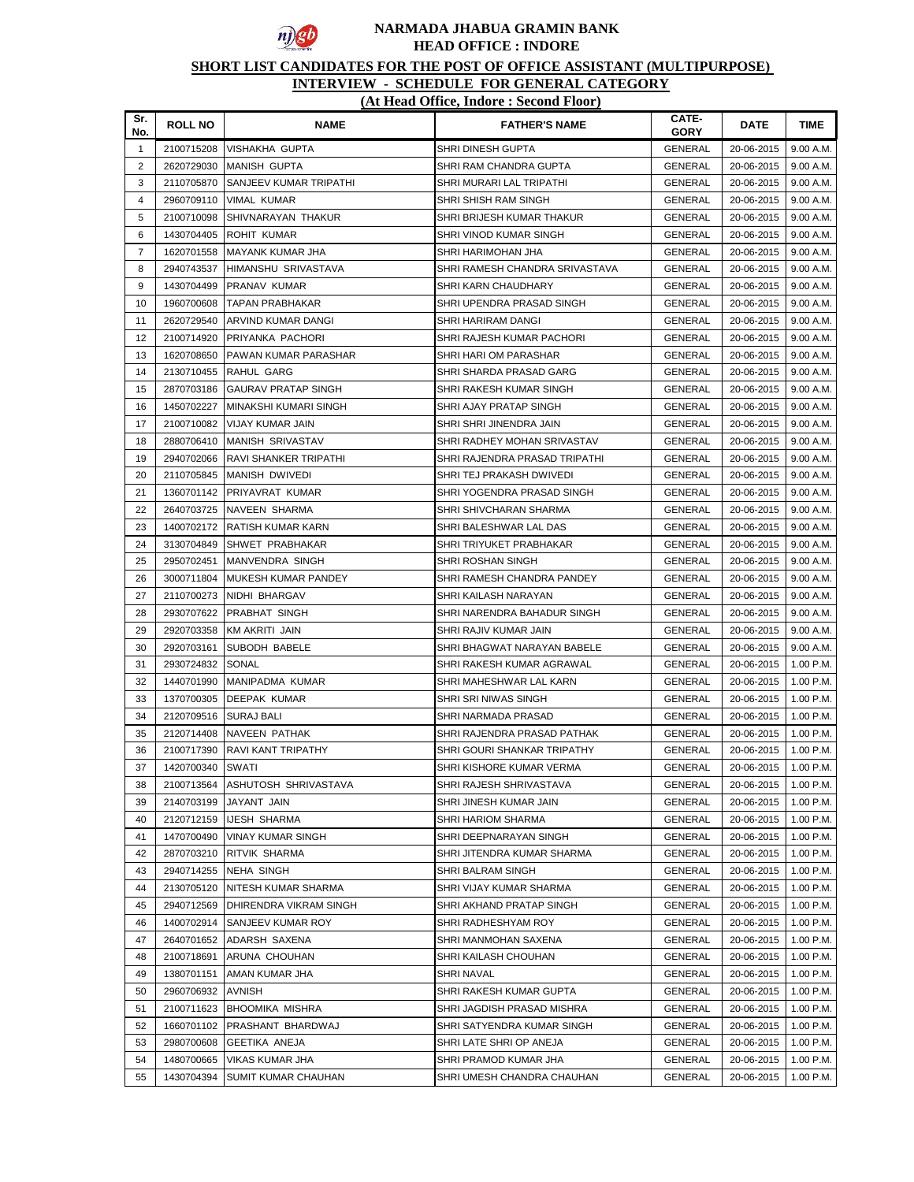

# **SHORT LIST CANDIDATES FOR THE POST OF OFFICE ASSISTANT (MULTIPURPOSE)**

| Sr.<br>No.     | <b>ROLL NO</b> | <b>NAME</b>                   | <b>FATHER'S NAME</b>           | CATE-<br><b>GORY</b> | DATE       | <b>TIME</b> |
|----------------|----------------|-------------------------------|--------------------------------|----------------------|------------|-------------|
| $\mathbf{1}$   | 2100715208     | VISHAKHA GUPTA                | SHRI DINESH GUPTA              | <b>GENERAL</b>       | 20-06-2015 | 9.00 A.M.   |
| $\overline{2}$ | 2620729030     | <b>MANISH GUPTA</b>           | SHRI RAM CHANDRA GUPTA         | <b>GENERAL</b>       | 20-06-2015 | 9.00 A.M.   |
| 3              | 2110705870     | <b>SANJEEV KUMAR TRIPATHI</b> | SHRI MURARI LAL TRIPATHI       | <b>GENERAL</b>       | 20-06-2015 | 9.00 A.M.   |
| 4              | 2960709110     | VIMAL KUMAR                   | SHRI SHISH RAM SINGH           | <b>GENERAL</b>       | 20-06-2015 | 9.00 A.M.   |
| 5              | 2100710098     | SHIVNARAYAN THAKUR            | SHRI BRIJESH KUMAR THAKUR      | GENERAL              | 20-06-2015 | 9.00 A.M.   |
| 6              | 1430704405     | <b>ROHIT KUMAR</b>            | SHRI VINOD KUMAR SINGH         | GENERAL              | 20-06-2015 | 9.00 A.M.   |
| $\overline{7}$ | 1620701558     | MAYANK KUMAR JHA              | SHRI HARIMOHAN JHA             | GENERAL              | 20-06-2015 | 9.00 A.M.   |
| 8              | 2940743537     | HIMANSHU SRIVASTAVA           | SHRI RAMESH CHANDRA SRIVASTAVA | GENERAL              | 20-06-2015 | 9.00 A.M.   |
| 9              | 1430704499     | <b>PRANAV KUMAR</b>           | SHRI KARN CHAUDHARY            | GENERAL              | 20-06-2015 | 9.00 A.M.   |
| 10             | 1960700608     | ITAPAN PRABHAKAR              | SHRI UPENDRA PRASAD SINGH      | <b>GENERAL</b>       | 20-06-2015 | 9.00 A.M.   |
| 11             | 2620729540     | ARVIND KUMAR DANGI            | SHRI HARIRAM DANGI             | GENERAL              | 20-06-2015 | 9.00 A.M.   |
| 12             | 2100714920     | PRIYANKA PACHORI              | SHRI RAJESH KUMAR PACHORI      | GENERAL              | 20-06-2015 | 9.00 A.M.   |
| 13             | 1620708650     | PAWAN KUMAR PARASHAR          | SHRI HARI OM PARASHAR          | <b>GENERAL</b>       | 20-06-2015 | 9.00 A.M.   |
| 14             | 2130710455     | RAHUL GARG                    | SHRI SHARDA PRASAD GARG        | <b>GENERAL</b>       | 20-06-2015 | 9.00 A.M.   |
| 15             | 2870703186     | <b>GAURAV PRATAP SINGH</b>    | SHRI RAKESH KUMAR SINGH        | <b>GENERAL</b>       | 20-06-2015 | 9.00 A.M.   |
| 16             | 1450702227     | <b>MINAKSHI KUMARI SINGH</b>  | SHRI AJAY PRATAP SINGH         | GENERAL              | 20-06-2015 | 9.00 A.M.   |
| 17             | 2100710082     | <b>VIJAY KUMAR JAIN</b>       | SHRI SHRI JINENDRA JAIN        | GENERAL              | 20-06-2015 | 9.00 A.M.   |
| 18             | 2880706410     | <b>MANISH SRIVASTAV</b>       | SHRI RADHEY MOHAN SRIVASTAV    | GENERAL              | 20-06-2015 | 9.00 A.M.   |
| 19             | 2940702066     | <b>RAVI SHANKER TRIPATHI</b>  | SHRI RAJENDRA PRASAD TRIPATHI  | GENERAL              | 20-06-2015 | 9.00 A.M.   |
| 20             | 2110705845     | MANISH DWIVEDI                | SHRI TEJ PRAKASH DWIVEDI       | GENERAL              | 20-06-2015 | 9.00 A.M.   |
| 21             | 1360701142     | <b>PRIYAVRAT KUMAR</b>        | SHRI YOGENDRA PRASAD SINGH     | GENERAL              | 20-06-2015 | 9.00 A.M.   |
| 22             | 2640703725     | NAVEEN SHARMA                 | SHRI SHIVCHARAN SHARMA         | GENERAL              | 20-06-2015 | 9.00 A.M.   |
| 23             | 1400702172     | <b>IRATISH KUMAR KARN</b>     | SHRI BALESHWAR LAL DAS         | GENERAL              | 20-06-2015 | 9.00 A.M.   |
| 24             | 3130704849     | <b>SHWET PRABHAKAR</b>        | SHRI TRIYUKET PRABHAKAR        | <b>GENERAL</b>       | 20-06-2015 | 9.00 A.M.   |
| 25             | 2950702451     | MANVENDRA SINGH               | SHRI ROSHAN SINGH              | <b>GENERAL</b>       | 20-06-2015 | 9.00 A.M.   |
| 26             | 3000711804     | MUKESH KUMAR PANDEY           | SHRI RAMESH CHANDRA PANDEY     | <b>GENERAL</b>       | 20-06-2015 | 9.00 A.M.   |
| 27             | 2110700273     | NIDHI BHARGAV                 | SHRI KAILASH NARAYAN           | GENERAL              | 20-06-2015 | 9.00 A.M.   |
| 28             | 2930707622     | <b>PRABHAT SINGH</b>          | SHRI NARENDRA BAHADUR SINGH    | GENERAL              | 20-06-2015 | 9.00 A.M.   |
| 29             | 2920703358     | KM AKRITI JAIN                | SHRI RAJIV KUMAR JAIN          | GENERAL              | 20-06-2015 | 9.00 A.M.   |
| 30             | 2920703161     | <b>SUBODH BABELE</b>          | SHRI BHAGWAT NARAYAN BABELE    | GENERAL              | 20-06-2015 | 9.00 A.M.   |
| 31             | 2930724832     | SONAL                         | SHRI RAKESH KUMAR AGRAWAL      | GENERAL              | 20-06-2015 | 1.00 P.M.   |
| 32             | 1440701990     | MANIPADMA KUMAR               | SHRI MAHESHWAR LAL KARN        | GENERAL              | 20-06-2015 | $1.00$ P.M. |
| 33             | 1370700305     | <b>DEEPAK KUMAR</b>           | SHRI SRI NIWAS SINGH           | GENERAL              | 20-06-2015 | 1.00 P.M.   |
| 34             | 2120709516     | <b>SURAJ BALI</b>             | SHRI NARMADA PRASAD            | GENERAL              | 20-06-2015 | 1.00 P.M.   |
| 35             | 2120714408     | INAVEEN PATHAK                | SHRI RAJENDRA PRASAD PATHAK    | GENERAL              | 20-06-2015 | 1.00 P.M.   |
| 36             | 2100717390     | <b>RAVI KANT TRIPATHY</b>     | SHRI GOURI SHANKAR TRIPATHY    | GENERAL              | 20-06-2015 | 1.00 P.M.   |
| 37             | 1420700340     | <b>SWATI</b>                  | SHRI KISHORE KUMAR VERMA       | GENERAL              | 20-06-2015 | 1.00 P.M.   |
| 38             | 2100713564     | <b>ASHUTOSH SHRIVASTAVA</b>   | SHRI RAJESH SHRIVASTAVA        | GENERAL              | 20-06-2015 | 1.00 P.M.   |
| 39             | 2140703199     | JAYANT JAIN                   | SHRI JINESH KUMAR JAIN         | <b>GENERAL</b>       | 20-06-2015 | 1.00 P.M.   |
| 40             | 2120712159     | <b>IJESH SHARMA</b>           | SHRI HARIOM SHARMA             | <b>GENERAL</b>       | 20-06-2015 | 1.00 P.M.   |
| 41             | 1470700490     | <b>VINAY KUMAR SINGH</b>      | SHRI DEEPNARAYAN SINGH         | <b>GENERAL</b>       | 20-06-2015 | 1.00 P.M.   |
| 42             | 2870703210     | <b>RITVIK SHARMA</b>          | SHRI JITENDRA KUMAR SHARMA     | <b>GENERAL</b>       | 20-06-2015 | 1.00 P.M.   |
| 43             | 2940714255     | <b>NEHA SINGH</b>             | SHRI BALRAM SINGH              | GENERAL              | 20-06-2015 | 1.00 P.M.   |
| 44             | 2130705120     | NITESH KUMAR SHARMA           | SHRI VIJAY KUMAR SHARMA        | GENERAL              | 20-06-2015 | 1.00 P.M.   |
| 45             | 2940712569     | DHIRENDRA VIKRAM SINGH        | SHRI AKHAND PRATAP SINGH       | GENERAL              | 20-06-2015 | 1.00 P.M.   |
| 46             | 1400702914     | SANJEEV KUMAR ROY             | SHRI RADHESHYAM ROY            | <b>GENERAL</b>       | 20-06-2015 | 1.00 P.M.   |
| 47             | 2640701652     | ADARSH SAXENA                 | SHRI MANMOHAN SAXENA           | GENERAL              | 20-06-2015 | 1.00 P.M.   |
| 48             | 2100718691     | ARUNA CHOUHAN                 | SHRI KAILASH CHOUHAN           | GENERAL              | 20-06-2015 | 1.00 P.M.   |
| 49             | 1380701151     | AMAN KUMAR JHA                | SHRI NAVAL                     | <b>GENERAL</b>       | 20-06-2015 | 1.00 P.M.   |
| 50             | 2960706932     | <b>AVNISH</b>                 | SHRI RAKESH KUMAR GUPTA        | <b>GENERAL</b>       | 20-06-2015 | 1.00 P.M.   |
| 51             | 2100711623     | <b>BHOOMIKA MISHRA</b>        | SHRI JAGDISH PRASAD MISHRA     | <b>GENERAL</b>       | 20-06-2015 | 1.00 P.M.   |
| 52             | 1660701102     | PRASHANT BHARDWAJ             | SHRI SATYENDRA KUMAR SINGH     | <b>GENERAL</b>       | 20-06-2015 | 1.00 P.M.   |
| 53             | 2980700608     | <b>GEETIKA ANEJA</b>          | SHRI LATE SHRI OP ANEJA        | GENERAL              | 20-06-2015 | 1.00 P.M.   |
| 54             | 1480700665     | <b>VIKAS KUMAR JHA</b>        | SHRI PRAMOD KUMAR JHA          | GENERAL              | 20-06-2015 | 1.00 P.M.   |
| 55             | 1430704394     | SUMIT KUMAR CHAUHAN           | SHRI UMESH CHANDRA CHAUHAN     | <b>GENERAL</b>       | 20-06-2015 | 1.00 P.M.   |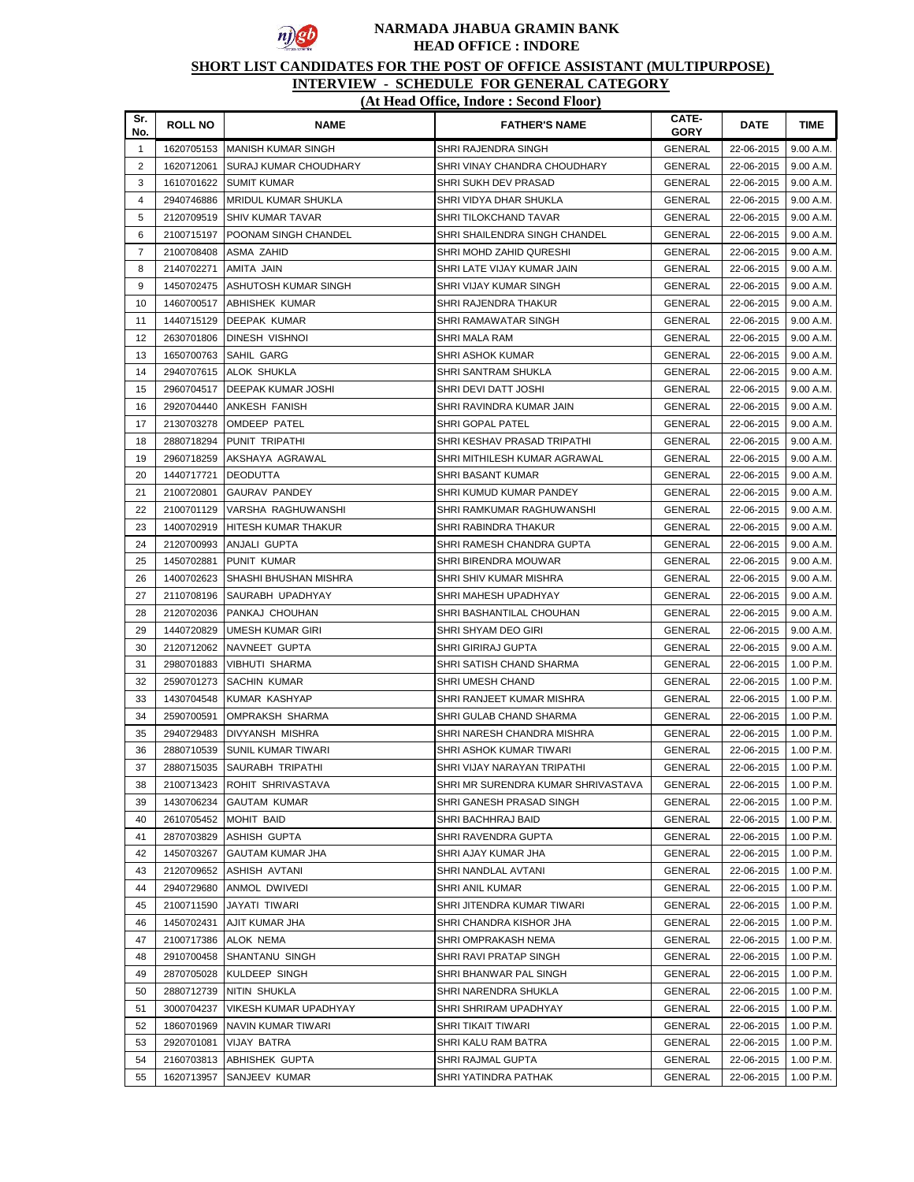

# **SHORT LIST CANDIDATES FOR THE POST OF OFFICE ASSISTANT (MULTIPURPOSE)**

| Sr.<br>No.     | <b>ROLL NO</b> | <b>NAME</b>                  | <b>FATHER'S NAME</b>               | CATE-<br><b>GORY</b> | <b>DATE</b> | <b>TIME</b> |
|----------------|----------------|------------------------------|------------------------------------|----------------------|-------------|-------------|
| $\mathbf{1}$   | 1620705153     | <b>MANISH KUMAR SINGH</b>    | SHRI RAJENDRA SINGH                | <b>GENERAL</b>       | 22-06-2015  | 9.00 A.M.   |
| $\overline{2}$ | 1620712061     | <b>SURAJ KUMAR CHOUDHARY</b> | SHRI VINAY CHANDRA CHOUDHARY       | <b>GENERAL</b>       | 22-06-2015  | 9.00 A.M.   |
| 3              | 1610701622     | <b>SUMIT KUMAR</b>           | SHRI SUKH DEV PRASAD               | GENERAL              | 22-06-2015  | 9.00 A.M.   |
| 4              | 2940746886     | <b>MRIDUL KUMAR SHUKLA</b>   | SHRI VIDYA DHAR SHUKLA             | GENERAL              | 22-06-2015  | 9.00 A.M.   |
| 5              | 2120709519     | <b>SHIV KUMAR TAVAR</b>      | SHRI TILOKCHAND TAVAR              | GENERAL              | 22-06-2015  | 9.00 A.M.   |
| 6              | 2100715197     | POONAM SINGH CHANDEL         | SHRI SHAILENDRA SINGH CHANDEL      | GENERAL              | 22-06-2015  | 9.00 A.M.   |
| $\overline{7}$ | 2100708408     | ASMA ZAHID                   | SHRI MOHD ZAHID QURESHI            | GENERAL              | 22-06-2015  | 9.00 A.M.   |
| 8              | 2140702271     | AMITA JAIN                   | SHRI LATE VIJAY KUMAR JAIN         | GENERAL              | 22-06-2015  | 9.00 A.M.   |
| 9              | 1450702475     | ASHUTOSH KUMAR SINGH         | SHRI VIJAY KUMAR SINGH             | GENERAL              | 22-06-2015  | 9.00 A.M.   |
| 10             | 1460700517     | <b>ABHISHEK KUMAR</b>        | SHRI RAJENDRA THAKUR               | GENERAL              | 22-06-2015  | 9.00 A.M.   |
| 11             | 1440715129     | DEEPAK KUMAR                 | SHRI RAMAWATAR SINGH               | GENERAL              | 22-06-2015  | 9.00 A.M.   |
| 12             | 2630701806     | <b>DINESH VISHNOI</b>        | SHRI MALA RAM                      | GENERAL              | 22-06-2015  | 9.00 A.M.   |
| 13             | 1650700763     | SAHIL GARG                   | SHRI ASHOK KUMAR                   | GENERAL              | 22-06-2015  | 9.00 A.M.   |
| 14             | 2940707615     | ALOK SHUKLA                  | SHRI SANTRAM SHUKLA                | GENERAL              | 22-06-2015  | 9.00 A.M.   |
| 15             | 2960704517     | DEEPAK KUMAR JOSHI           | SHRI DEVI DATT JOSHI               | GENERAL              | 22-06-2015  | 9.00 A.M.   |
| 16             | 2920704440     | <b>ANKESH FANISH</b>         | SHRI RAVINDRA KUMAR JAIN           | <b>GENERAL</b>       | 22-06-2015  | 9.00 A.M.   |
| 17             | 2130703278     | <b>OMDEEP PATEL</b>          | <b>SHRI GOPAL PATEL</b>            | GENERAL              | 22-06-2015  | 9.00 A.M.   |
| 18             | 2880718294     | PUNIT TRIPATHI               | SHRI KESHAV PRASAD TRIPATHI        | GENERAL              | 22-06-2015  | 9.00 A.M.   |
| 19             | 2960718259     | AKSHAYA AGRAWAL              | SHRI MITHILESH KUMAR AGRAWAL       | GENERAL              | 22-06-2015  | 9.00 A.M.   |
| 20             | 1440717721     | <b>DEODUTTA</b>              | SHRI BASANT KUMAR                  | GENERAL              | 22-06-2015  | 9.00 A.M.   |
| 21             | 2100720801     | <b>GAURAV PANDEY</b>         | SHRI KUMUD KUMAR PANDEY            | <b>GENERAL</b>       | 22-06-2015  | 9.00 A.M.   |
| 22             | 2100701129     | VARSHA RAGHUWANSHI           | SHRI RAMKUMAR RAGHUWANSHI          | GENERAL              | 22-06-2015  | 9.00 A.M.   |
| 23             | 1400702919     | HITESH KUMAR THAKUR          | SHRI RABINDRA THAKUR               | GENERAL              | 22-06-2015  | 9.00 A.M.   |
| 24             | 2120700993     | ANJALI GUPTA                 | SHRI RAMESH CHANDRA GUPTA          | <b>GENERAL</b>       | 22-06-2015  | 9.00 A.M.   |
| 25             | 1450702881     | PUNIT KUMAR                  | SHRI BIRENDRA MOUWAR               | <b>GENERAL</b>       | 22-06-2015  | 9.00 A.M.   |
| 26             | 1400702623     | SHASHI BHUSHAN MISHRA        | SHRI SHIV KUMAR MISHRA             | <b>GENERAL</b>       | 22-06-2015  | 9.00 A.M.   |
| 27             | 2110708196     | SAURABH UPADHYAY             | SHRI MAHESH UPADHYAY               | <b>GENERAL</b>       | 22-06-2015  | 9.00 A.M.   |
| 28             | 2120702036     | PANKAJ CHOUHAN               | SHRI BASHANTILAL CHOUHAN           | GENERAL              | 22-06-2015  | 9.00 A.M.   |
| 29             | 1440720829     | UMESH KUMAR GIRI             | SHRI SHYAM DEO GIRI                | GENERAL              | 22-06-2015  | 9.00 A.M.   |
| 30             | 2120712062     | NAVNEET GUPTA                | SHRI GIRIRAJ GUPTA                 | GENERAL              | 22-06-2015  | 9.00 A.M.   |
| 31             | 2980701883     | <b>VIBHUTI SHARMA</b>        | SHRI SATISH CHAND SHARMA           | GENERAL              | 22-06-2015  | 1.00 P.M.   |
| 32             | 2590701273     | <b>SACHIN KUMAR</b>          | SHRI UMESH CHAND                   | GENERAL              | 22-06-2015  | 1.00 P.M.   |
| 33             | 1430704548     | KUMAR KASHYAP                | SHRI RANJEET KUMAR MISHRA          | GENERAL              | 22-06-2015  | 1.00 P.M.   |
| 34             | 2590700591     | <b>OMPRAKSH SHARMA</b>       | SHRI GULAB CHAND SHARMA            | GENERAL              | 22-06-2015  | 1.00 P.M.   |
| 35             | 2940729483     | DIVYANSH MISHRA              | SHRI NARESH CHANDRA MISHRA         | <b>GENERAL</b>       | 22-06-2015  | 1.00 P.M.   |
| 36             | 2880710539     | <b>SUNIL KUMAR TIWARI</b>    | SHRI ASHOK KUMAR TIWARI            | GENERAL              | 22-06-2015  | 1.00 P.M.   |
| 37             | 2880715035     | <b>SAURABH TRIPATHI</b>      | SHRI VIJAY NARAYAN TRIPATHI        | GENERAL              | 22-06-2015  | 1.00 P.M.   |
| 38             | 2100713423     | ROHIT SHRIVASTAVA            | SHRI MR SURENDRA KUMAR SHRIVASTAVA | <b>GENERAL</b>       | 22-06-2015  | 1.00 P.M.   |
| 39             | 1430706234     | <b>GAUTAM KUMAR</b>          | SHRI GANESH PRASAD SINGH           | <b>GENERAL</b>       | 22-06-2015  | 1.00 P.M.   |
| 40             | 2610705452     | <b>MOHIT BAID</b>            | SHRI BACHHRAJ BAID                 | <b>GENERAL</b>       | 22-06-2015  | 1.00 P.M.   |
| 41             | 2870703829     | <b>ASHISH GUPTA</b>          | SHRI RAVENDRA GUPTA                | GENERAL              | 22-06-2015  | 1.00 P.M.   |
| 42             | 1450703267     | GAUTAM KUMAR JHA             | SHRI AJAY KUMAR JHA                | GENERAL              | 22-06-2015  | 1.00 P.M.   |
| 43             | 2120709652     | ASHISH AVTANI                | SHRI NANDLAL AVTANI                | <b>GENERAL</b>       | 22-06-2015  | 1.00 P.M.   |
| 44             | 2940729680     | ANMOL DWIVEDI                | SHRI ANIL KUMAR                    | GENERAL              | 22-06-2015  | 1.00 P.M.   |
| 45             | 2100711590     | JAYATI TIWARI                | SHRI JITENDRA KUMAR TIWARI         | <b>GENERAL</b>       | 22-06-2015  | 1.00 P.M.   |
| 46             | 1450702431     | AJIT KUMAR JHA               | SHRI CHANDRA KISHOR JHA            | GENERAL              | 22-06-2015  | 1.00 P.M.   |
| 47             | 2100717386     | ALOK NEMA                    | SHRI OMPRAKASH NEMA                | GENERAL              | 22-06-2015  | 1.00 P.M.   |
| 48             | 2910700458     | SHANTANU SINGH               | SHRI RAVI PRATAP SINGH             | <b>GENERAL</b>       | 22-06-2015  | 1.00 P.M.   |
| 49             | 2870705028     | KULDEEP SINGH                | SHRI BHANWAR PAL SINGH             | <b>GENERAL</b>       | 22-06-2015  | 1.00 P.M.   |
| 50             | 2880712739     | NITIN SHUKLA                 | SHRI NARENDRA SHUKLA               | <b>GENERAL</b>       | 22-06-2015  | 1.00 P.M.   |
| 51             | 3000704237     | VIKESH KUMAR UPADHYAY        | SHRI SHRIRAM UPADHYAY              | <b>GENERAL</b>       | 22-06-2015  | 1.00 P.M.   |
| 52             | 1860701969     | NAVIN KUMAR TIWARI           | SHRI TIKAIT TIWARI                 | <b>GENERAL</b>       | 22-06-2015  | 1.00 P.M.   |
| 53             | 2920701081     | <b>VIJAY BATRA</b>           | SHRI KALU RAM BATRA                | GENERAL              | 22-06-2015  | 1.00 P.M.   |
| 54             | 2160703813     | ABHISHEK GUPTA               | SHRI RAJMAL GUPTA                  | <b>GENERAL</b>       | 22-06-2015  | 1.00 P.M.   |
| 55             | 1620713957     | SANJEEV KUMAR                | SHRI YATINDRA PATHAK               | <b>GENERAL</b>       | 22-06-2015  | 1.00 P.M.   |